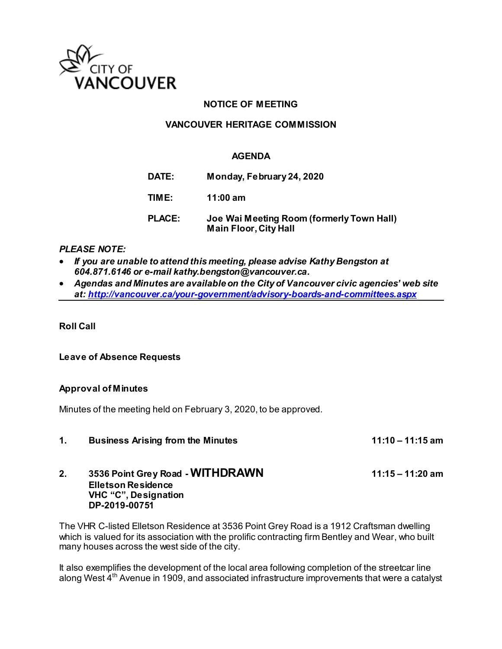

# **NOTICE OF MEETING**

# **VANCOUVER HERITAGE COMMISSION**

## **AGENDA**

**DATE: Monday, February 24, 2020 TIME: 11:00 am PLACE: Joe Wai Meeting Room (formerly Town Hall) Main Floor, City Hall** 

### *PLEASE NOTE:*

- *If you are unable to attend this meeting, please advise Kathy Bengston at 604.871.6146 or e-mail kathy.bengston@vancouver.ca.*
- *Agendas and Minutes are available on the City of Vancouver civic agencies' web site at[: http://vancouver.ca/your-government/advisory-boards-and-committees.aspx](http://vancouver.ca/your-government/advisory-boards-and-committees.aspx)*

**Roll Call** 

### **Leave of Absence Requests**

# **Approval of Minutes**

Minutes of the meeting held on February 3, 2020, to be approved.

1. Business Arising from the Minutes **11:10 – 11:15 am** 

## **2. 3536 Point Grey Road - WITHDRAWN 11:15 – 11:20 am Elletson Residence VHC "C", Designation DP-2019-00751**

The VHR C-listed Elletson Residence at 3536 Point Grey Road is a 1912 Craftsman dwelling which is valued for its association with the prolific contracting firm Bentley and Wear, who built many houses across the west side of the city.

It also exemplifies the development of the local area following completion of the streetcar line along West 4<sup>th</sup> Avenue in 1909, and associated infrastructure improvements that were a catalyst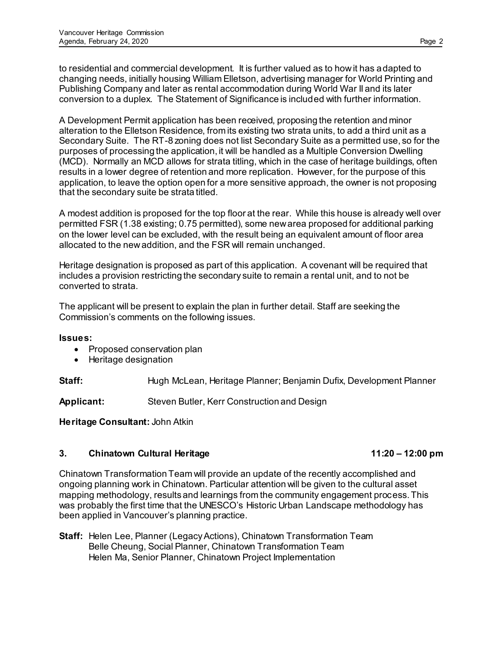to residential and commercial development. It is further valued as to how it has adapted to changing needs, initially housing William Elletson, advertising manager for World Printing and Publishing Company and later as rental accommodation during World War II and its later conversion to a duplex. The Statement of Significance is included with further information.

A Development Permit application has been received, proposing the retention and minor alteration to the Elletson Residence, from its existing two strata units, to add a third unit as a Secondary Suite. The RT-8 zoning does not list Secondary Suite as a permitted use, so for the purposes of processing the application, it will be handled as a Multiple Conversion Dwelling (MCD). Normally an MCD allows for strata titling, which in the case of heritage buildings, often results in a lower degree of retention and more replication. However, for the purpose of this application, to leave the option open for a more sensitive approach, the owner is not proposing that the secondary suite be strata titled.

A modest addition is proposed for the top floor at the rear. While this house is already well over permitted FSR (1.38 existing; 0.75 permitted), some new area proposed for additional parking on the lower level can be excluded, with the result being an equivalent amount of floor area allocated to the new addition, and the FSR will remain unchanged.

Heritage designation is proposed as part of this application. A covenant will be required that includes a provision restricting the secondary suite to remain a rental unit, and to not be converted to strata.

The applicant will be present to explain the plan in further detail. Staff are seeking the Commission's comments on the following issues.

### **Issues:**

- Proposed conservation plan
- Heritage designation

**Staff:** Hugh McLean, Heritage Planner; Benjamin Dufix, Development Planner

**Applicant:** Steven Butler, Kerr Construction and Design

**Heritage Consultant:** John Atkin

# **3. Chinatown Cultural Heritage 11:20 – 12:00 pm**

Chinatown Transformation Team will provide an update of the recently accomplished and ongoing planning work in Chinatown. Particular attention will be given to the cultural asset mapping methodology, results and learnings from the community engagement process. This was probably the first time that the UNESCO's Historic Urban Landscape methodology has been applied in Vancouver's planning practice.

**Staff:** Helen Lee, Planner (Legacy Actions), Chinatown Transformation Team Belle Cheung, Social Planner, Chinatown Transformation Team Helen Ma, Senior Planner, Chinatown Project Implementation